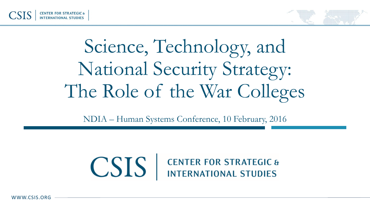

# Science, Technology, and National Security Strategy: The Role of the War Colleges

NDIA – Human Systems Conference, 10 February, 2016

# **CSIS** EENTER FOR STRATEGIC &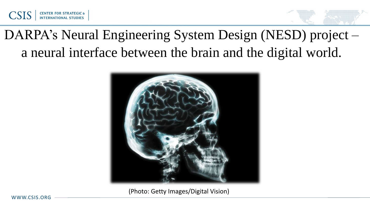

# DARPA's Neural Engineering System Design (NESD) project – a neural interface between the brain and the digital world.



(Photo: Getty Images/Digital Vision)

WWW.CSIS.ORG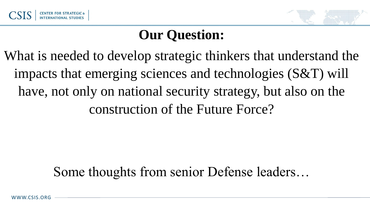

## **Our Question:**

What is needed to develop strategic thinkers that understand the impacts that emerging sciences and technologies (S&T) will have, not only on national security strategy, but also on the construction of the Future Force?

#### Some thoughts from senior Defense leaders…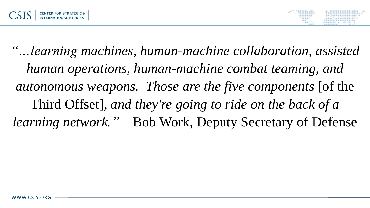

*"…learning machines, human-machine collaboration, assisted human operations, human-machine combat teaming, and autonomous weapons. Those are the five components* [of the Third Offset]*, and they're going to ride on the back of a learning network."* – Bob Work, Deputy Secretary of Defense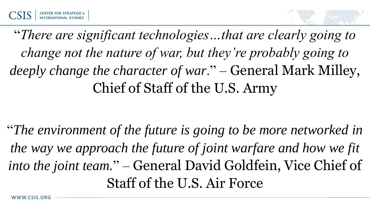

"*There are significant technologies…that are clearly going to change not the nature of war, but they're probably going to deeply change the character of war*." – General Mark Milley, Chief of Staff of the U.S. Army

"*The environment of the future is going to be more networked in the way we approach the future of joint warfare and how we fit into the joint team.*" – General David Goldfein, Vice Chief of Staff of the U.S. Air Force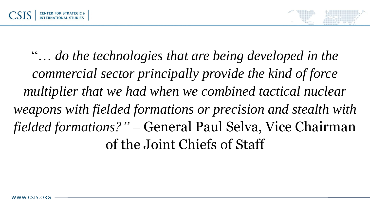

"… *do the technologies that are being developed in the commercial sector principally provide the kind of force multiplier that we had when we combined tactical nuclear weapons with fielded formations or precision and stealth with fielded formations?"* – General Paul Selva, Vice Chairman of the Joint Chiefs of Staff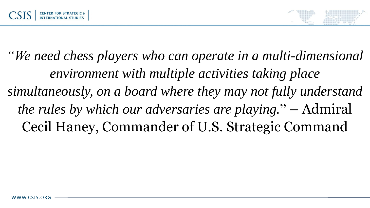

*"We need chess players who can operate in a multi-dimensional environment with multiple activities taking place simultaneously, on a board where they may not fully understand the rules by which our adversaries are playing.*" – Admiral Cecil Haney, Commander of U.S. Strategic Command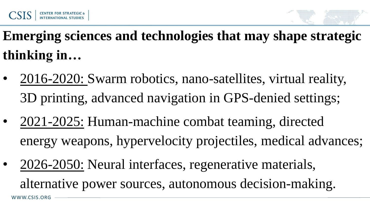

**Emerging sciences and technologies that may shape strategic thinking in…**

- 2016-2020: Swarm robotics, nano-satellites, virtual reality, 3D printing, advanced navigation in GPS-denied settings;
- 2021-2025: Human-machine combat teaming, directed energy weapons, hypervelocity projectiles, medical advances;
- WWW.CSIS.ORG • 2026-2050: Neural interfaces, regenerative materials, alternative power sources, autonomous decision-making.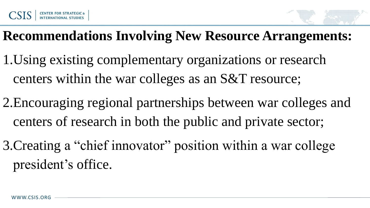

## **Recommendations Involving New Resource Arrangements:**

- 1.Using existing complementary organizations or research centers within the war colleges as an S&T resource;
- 2.Encouraging regional partnerships between war colleges and centers of research in both the public and private sector;
- 3.Creating a "chief innovator" position within a war college president's office.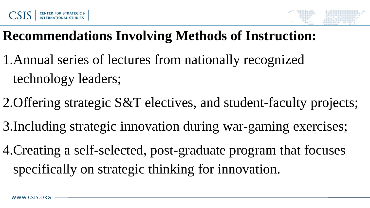

#### **Recommendations Involving Methods of Instruction:**

- 1.Annual series of lectures from nationally recognized technology leaders;
- 2.Offering strategic S&T electives, and student-faculty projects;
- 3.Including strategic innovation during war-gaming exercises;
- 4.Creating a self-selected, post-graduate program that focuses specifically on strategic thinking for innovation.